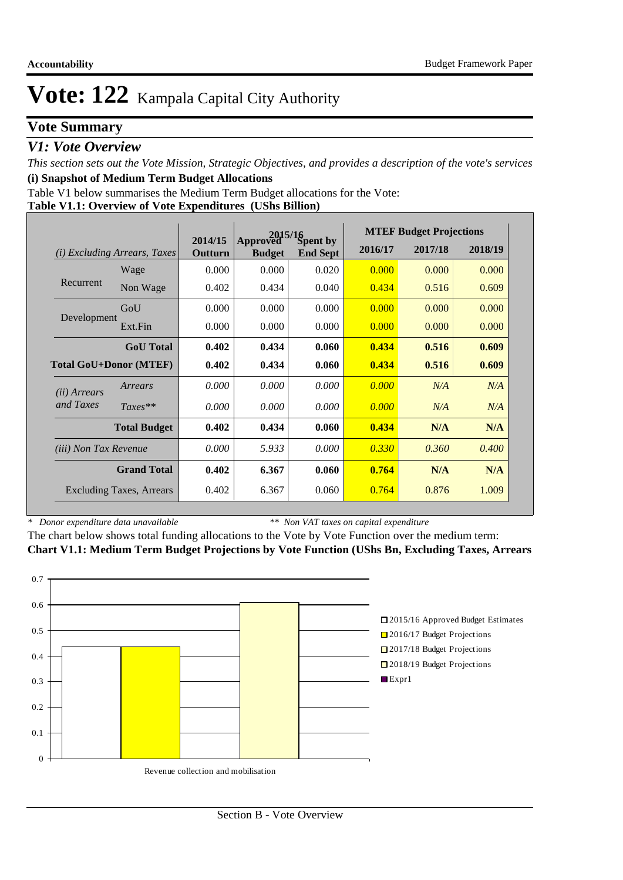## **Vote Summary**

### *V1: Vote Overview*

*This section sets out the Vote Mission, Strategic Objectives, and provides a description of the vote's services* **(i) Snapshot of Medium Term Budget Allocations** 

Table V1 below summarises the Medium Term Budget allocations for the Vote:

**Table V1.1: Overview of Vote Expenditures (UShs Billion)**

|                              |                                 | 2015/16            |                           |                             |         | <b>MTEF Budget Projections</b> |         |
|------------------------------|---------------------------------|--------------------|---------------------------|-----------------------------|---------|--------------------------------|---------|
| (i)                          | <i>Excluding Arrears, Taxes</i> | 2014/15<br>Outturn | Approved<br><b>Budget</b> | Spent by<br><b>End Sept</b> | 2016/17 | 2017/18                        | 2018/19 |
|                              | Wage                            | 0.000              | 0.000                     | 0.020                       | 0.000   | 0.000                          | 0.000   |
| Recurrent                    | Non Wage                        | 0.402              | 0.434                     | 0.040                       | 0.434   | 0.516                          | 0.609   |
|                              | GoU                             | 0.000              | 0.000                     | 0.000                       | 0.000   | 0.000                          | 0.000   |
| Development                  | Ext.Fin                         | 0.000              | 0.000                     | 0.000                       | 0.000   | 0.000                          | 0.000   |
|                              | <b>GoU</b> Total                | 0.402              | 0.434                     | 0.060                       | 0.434   | 0.516                          | 0.609   |
|                              | <b>Total GoU+Donor (MTEF)</b>   | 0.402              | 0.434                     | 0.060                       | 0.434   | 0.516                          | 0.609   |
| (ii) Arrears                 | Arrears                         | 0.000              | 0.000                     | 0.000                       | 0.000   | N/A                            | N/A     |
| and Taxes                    | $Taxes**$                       | 0.000              | 0.000                     | 0.000                       | 0.000   | N/A                            | N/A     |
|                              | <b>Total Budget</b>             | 0.402              | 0.434                     | 0.060                       | 0.434   | N/A                            | N/A     |
| <i>(iii) Non Tax Revenue</i> |                                 | 0.000              | 5.933                     | 0.000                       | 0.330   | 0.360                          | 0.400   |
|                              | <b>Grand Total</b>              | 0.402              | 6.367                     | 0.060                       | 0.764   | N/A                            | N/A     |
|                              | <b>Excluding Taxes, Arrears</b> | 0.402              | 6.367                     | 0.060                       | 0.764   | 0.876                          | 1.009   |

*\* Donor expenditure data unavailable*

*\*\* Non VAT taxes on capital expenditure*

The chart below shows total funding allocations to the Vote by Vote Function over the medium term: **Chart V1.1: Medium Term Budget Projections by Vote Function (UShs Bn, Excluding Taxes, Arrears**

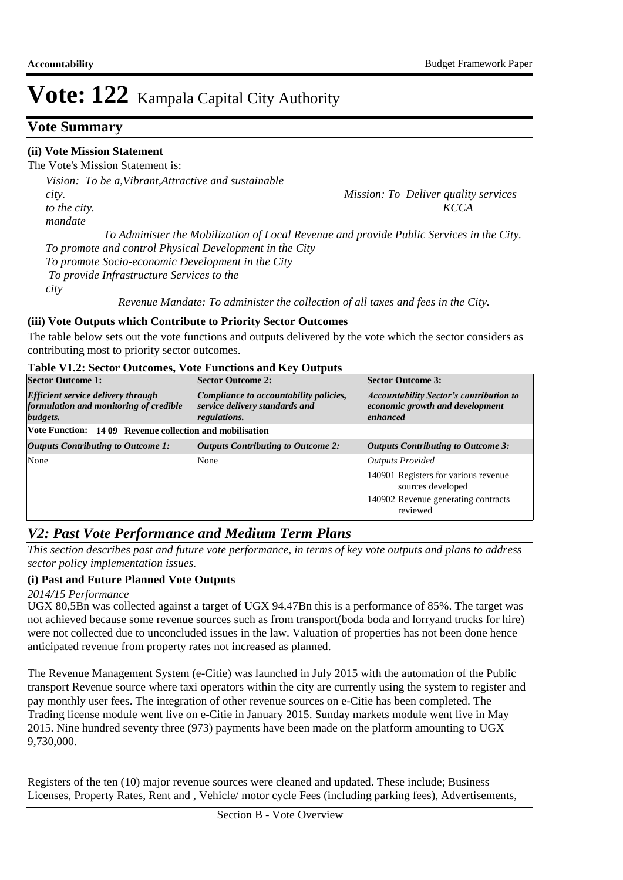## **Vote Summary**

### **(ii) Vote Mission Statement**

The Vote's Mission Statement is:

*Vision: To be a,Vibrant,Attractive and sustainable city. Mission: To Deliver quality services to the city. KCCA mandate To Administer the Mobilization of Local Revenue and provide Public Services in the City. To promote and control Physical Development in the City To promote Socio-economic Development in the City To provide Infrastructure Services to the city* 

 *Revenue Mandate: To administer the collection of all taxes and fees in the City.*

### **(iii) Vote Outputs which Contribute to Priority Sector Outcomes**

The table below sets out the vote functions and outputs delivered by the vote which the sector considers as contributing most to priority sector outcomes.

#### **Table V1.2: Sector Outcomes, Vote Functions and Key Outputs**

| <b>Sector Outcome 1:</b>                                                                        | <b>Sector Outcome 2:</b>                                                                        | <b>Sector Outcome 3:</b>                                                                      |  |  |
|-------------------------------------------------------------------------------------------------|-------------------------------------------------------------------------------------------------|-----------------------------------------------------------------------------------------------|--|--|
| <b>Efficient service delivery through</b><br>formulation and monitoring of credible<br>budgets. | Compliance to accountability policies,<br>service delivery standards and<br><i>regulations.</i> | <b>Accountability Sector's contribution to</b><br>economic growth and development<br>enhanced |  |  |
| Vote Function: 1409 Revenue collection and mobilisation                                         |                                                                                                 |                                                                                               |  |  |
| <b>Outputs Contributing to Outcome 1:</b>                                                       | <b>Outputs Contributing to Outcome 2:</b>                                                       | <b>Outputs Contributing to Outcome 3:</b>                                                     |  |  |
| None                                                                                            | None                                                                                            | <b>Outputs Provided</b>                                                                       |  |  |
|                                                                                                 |                                                                                                 | 140901 Registers for various revenue<br>sources developed                                     |  |  |
|                                                                                                 |                                                                                                 | 140902 Revenue generating contracts<br>reviewed                                               |  |  |

## *V2: Past Vote Performance and Medium Term Plans*

*This section describes past and future vote performance, in terms of key vote outputs and plans to address sector policy implementation issues.* 

#### **(i) Past and Future Planned Vote Outputs**

#### *2014/15 Performance*

UGX 80,5Bn was collected against a target of UGX 94.47Bn this is a performance of 85%. The target was not achieved because some revenue sources such as from transport(boda boda and lorryand trucks for hire) were not collected due to unconcluded issues in the law. Valuation of properties has not been done hence anticipated revenue from property rates not increased as planned.

The Revenue Management System (e-Citie) was launched in July 2015 with the automation of the Public transport Revenue source where taxi operators within the city are currently using the system to register and pay monthly user fees. The integration of other revenue sources on e-Citie has been completed. The Trading license module went live on e-Citie in January 2015. Sunday markets module went live in May 2015. Nine hundred seventy three (973) payments have been made on the platform amounting to UGX 9,730,000.

Registers of the ten (10) major revenue sources were cleaned and updated. These include; Business Licenses, Property Rates, Rent and , Vehicle/ motor cycle Fees (including parking fees), Advertisements,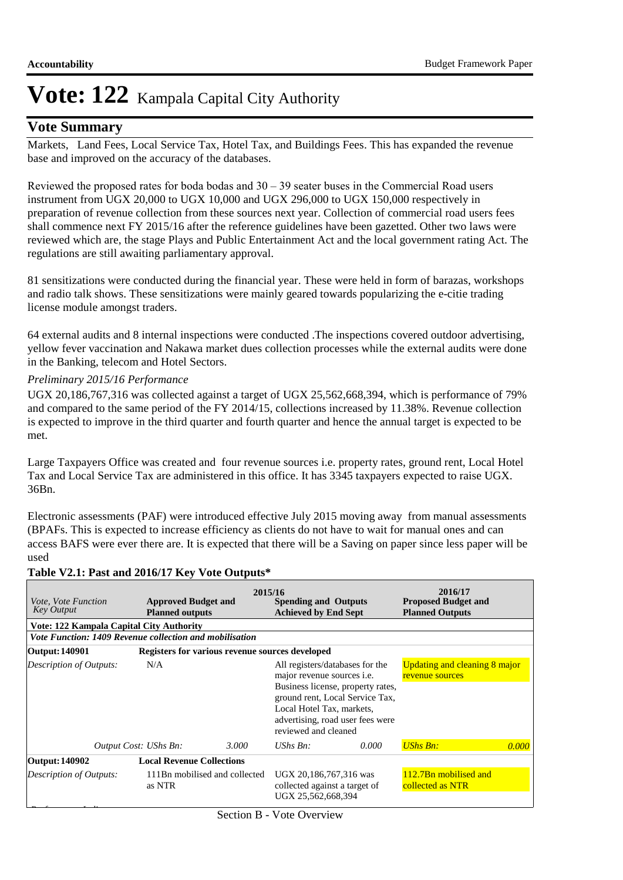### **Vote Summary**

Markets, Land Fees, Local Service Tax, Hotel Tax, and Buildings Fees. This has expanded the revenue base and improved on the accuracy of the databases.

Reviewed the proposed rates for boda bodas and  $30 - 39$  seater buses in the Commercial Road users instrument from UGX 20,000 to UGX 10,000 and UGX 296,000 to UGX 150,000 respectively in preparation of revenue collection from these sources next year. Collection of commercial road users fees shall commence next FY 2015/16 after the reference guidelines have been gazetted. Other two laws were reviewed which are, the stage Plays and Public Entertainment Act and the local government rating Act. The regulations are still awaiting parliamentary approval.

81 sensitizations were conducted during the financial year. These were held in form of barazas, workshops and radio talk shows. These sensitizations were mainly geared towards popularizing the e-citie trading license module amongst traders.

64 external audits and 8 internal inspections were conducted .The inspections covered outdoor advertising, yellow fever vaccination and Nakawa market dues collection processes while the external audits were done in the Banking, telecom and Hotel Sectors.

#### *Preliminary 2015/16 Performance*

UGX 20,186,767,316 was collected against a target of UGX 25,562,668,394, which is performance of 79% and compared to the same period of the FY 2014/15, collections increased by 11.38%. Revenue collection is expected to improve in the third quarter and fourth quarter and hence the annual target is expected to be met.

Large Taxpayers Office was created and four revenue sources i.e. property rates, ground rent, Local Hotel Tax and Local Service Tax are administered in this office. It has 3345 taxpayers expected to raise UGX. 36Bn.

Electronic assessments (PAF) were introduced effective July 2015 moving away from manual assessments (BPAFs. This is expected to increase efficiency as clients do not have to wait for manual ones and can access BAFS were ever there are. It is expected that there will be a Saving on paper since less paper will be used

| <i>Vote, Vote Function</i><br><b>Key Output</b>         | <b>Approved Budget and</b><br><b>Planned outputs</b> |                                                 | 2015/16<br><b>Spending and Outputs</b><br><b>Achieved by End Sept</b>         |                                                                                                                                                                                                                                                                   | 2016/17<br><b>Proposed Budget and</b><br><b>Planned Outputs</b> |       |  |
|---------------------------------------------------------|------------------------------------------------------|-------------------------------------------------|-------------------------------------------------------------------------------|-------------------------------------------------------------------------------------------------------------------------------------------------------------------------------------------------------------------------------------------------------------------|-----------------------------------------------------------------|-------|--|
| Vote: 122 Kampala Capital City Authority                |                                                      |                                                 |                                                                               |                                                                                                                                                                                                                                                                   |                                                                 |       |  |
| Vote Function: 1409 Revenue collection and mobilisation |                                                      |                                                 |                                                                               |                                                                                                                                                                                                                                                                   |                                                                 |       |  |
| Output: 140901                                          |                                                      | Registers for various revenue sources developed |                                                                               |                                                                                                                                                                                                                                                                   |                                                                 |       |  |
| Description of Outputs:                                 | N/A                                                  | reviewed and cleaned                            |                                                                               | Updating and cleaning 8 major<br>All registers/databases for the<br>major revenue sources <i>i.e.</i><br>revenue sources<br>Business license, property rates,<br>ground rent, Local Service Tax,<br>Local Hotel Tax, markets,<br>advertising, road user fees were |                                                                 |       |  |
|                                                         | Output Cost: UShs Bn:                                | 3.000                                           | UShs $Bn$ :                                                                   | 0.000                                                                                                                                                                                                                                                             | <b>UShs Bn:</b>                                                 | 0.000 |  |
| Output: 140902                                          | <b>Local Revenue Collections</b>                     |                                                 |                                                                               |                                                                                                                                                                                                                                                                   |                                                                 |       |  |
| Description of Outputs:                                 | as NTR                                               | 111Bn mobilised and collected                   | UGX 20,186,767,316 was<br>collected against a target of<br>UGX 25,562,668,394 |                                                                                                                                                                                                                                                                   | 112.7Bn mobilised and<br>collected as NTR                       |       |  |

#### **Table V2.1: Past and 2016/17 Key Vote Outputs\***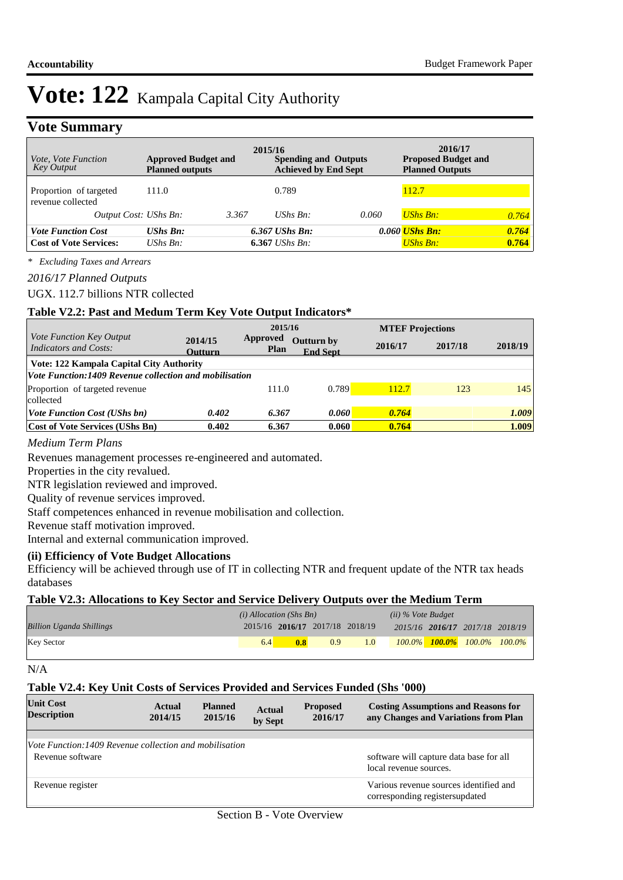### **Vote Summary**

| <i>Vote, Vote Function</i><br>Key Output                   | <b>Approved Budget and</b><br><b>Planned outputs</b> | 2015/16<br><b>Spending and Outputs</b><br><b>Achieved by End Sept</b> |                                      |       | 2016/17<br><b>Proposed Budget and</b><br><b>Planned Outputs</b> |                |  |
|------------------------------------------------------------|------------------------------------------------------|-----------------------------------------------------------------------|--------------------------------------|-------|-----------------------------------------------------------------|----------------|--|
| Proportion of targeted<br>revenue collected                | 111.0                                                |                                                                       | 0.789                                |       | 112.7                                                           |                |  |
| Output Cost: UShs Bn:                                      |                                                      | 3.367                                                                 | $UShs$ $Bn$ :                        | 0.060 | <b>UShs Bn:</b>                                                 | 0.764          |  |
| <b>Vote Function Cost</b><br><b>Cost of Vote Services:</b> | <b>UShs Bn:</b><br>UShs $Bn$ :                       |                                                                       | $6.367$ UShs Bn:<br>$6.367$ UShs Bn: |       | $0.060$ UShs Bn:<br><b>UShs Bn:</b>                             | 0.764<br>0.764 |  |

*\* Excluding Taxes and Arrears*

#### *2016/17 Planned Outputs*

#### UGX. 112.7 billions NTR collected

#### **Table V2.2: Past and Medum Term Key Vote Output Indicators\***

|                                                               | 2015/16            |                         |                               | <b>MTEF Projections</b> |         |         |
|---------------------------------------------------------------|--------------------|-------------------------|-------------------------------|-------------------------|---------|---------|
| Vote Function Key Output<br><b>Indicators and Costs:</b>      | 2014/15<br>Outturn | Approved<br><b>Plan</b> | Outturn by<br><b>End Sept</b> | 2016/17                 | 2017/18 | 2018/19 |
| Vote: 122 Kampala Capital City Authority                      |                    |                         |                               |                         |         |         |
| <b>Vote Function:1409 Revenue collection and mobilisation</b> |                    |                         |                               |                         |         |         |
| Proportion of targeted revenue                                |                    | 111.0                   | 0.789                         | 112.7                   | 123     | 145     |
| collected                                                     |                    |                         |                               |                         |         |         |
| <i>Vote Function Cost (UShs bn)</i>                           | 0.402              | 6.367                   | 0.060                         | 0.764                   |         | 1.009   |
| <b>Cost of Vote Services (UShs Bn)</b>                        | 0.402              | 6.367                   | 0.060                         | 0.764                   |         | 1.009   |

#### *Medium Term Plans*

Revenues management processes re-engineered and automated.

Properties in the city revalued.

NTR legislation reviewed and improved.

Quality of revenue services improved.

Staff competences enhanced in revenue mobilisation and collection.

Revenue staff motivation improved.

Internal and external communication improved.

#### **(ii) Efficiency of Vote Budget Allocations**

Efficiency will be achieved through use of IT in collecting NTR and frequent update of the NTR tax heads databases

#### **Table V2.3: Allocations to Key Sector and Service Delivery Outputs over the Medium Term**

|                                 | $(i)$ Allocation (Shs Bn) |                                 |     |     | $(ii)$ % Vote Budget            |                                         |  |
|---------------------------------|---------------------------|---------------------------------|-----|-----|---------------------------------|-----------------------------------------|--|
| <b>Billion Uganda Shillings</b> |                           | 2015/16 2016/17 2017/18 2018/19 |     |     | 2015/16 2016/17 2017/18 2018/19 |                                         |  |
| <b>Key Sector</b>               | 6.4                       | 0.8                             | 0.9 | 1.0 |                                 | $100.0\%$ $100.0\%$ $100.0\%$ $100.0\%$ |  |

N/A

#### **Table V2.4: Key Unit Costs of Services Provided and Services Funded (Shs '000)**

| <b>Unit Cost</b><br><b>Description</b>                  | Actual<br>2014/15 | <b>Planned</b><br>2015/16 | <b>Actual</b><br>by Sept | <b>Proposed</b><br>2016/17 | <b>Costing Assumptions and Reasons for</b><br>any Changes and Variations from Plan |
|---------------------------------------------------------|-------------------|---------------------------|--------------------------|----------------------------|------------------------------------------------------------------------------------|
|                                                         |                   |                           |                          |                            |                                                                                    |
| Vote Function: 1409 Revenue collection and mobilisation |                   |                           |                          |                            |                                                                                    |
| Revenue software                                        |                   |                           |                          |                            | software will capture data base for all<br>local revenue sources.                  |
| Revenue register                                        |                   |                           |                          |                            | Various revenue sources identified and<br>corresponding registersupdated           |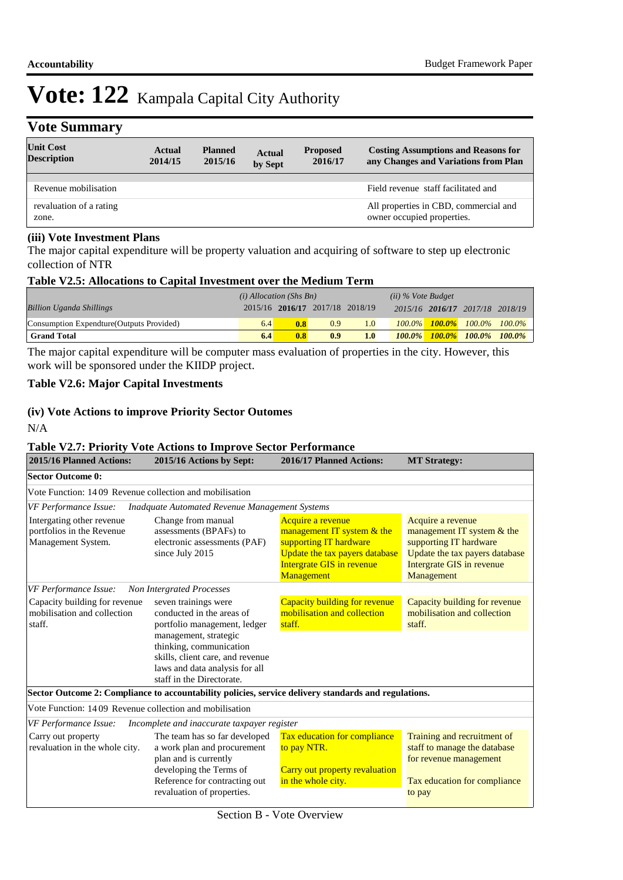## **Vote Summary**

| <b>Unit Cost</b><br><b>Description</b> | Actual<br>2014/15 | <b>Planned</b><br>2015/16 | <b>Actual</b><br>by Sept | <b>Proposed</b><br>2016/17 | <b>Costing Assumptions and Reasons for</b><br>any Changes and Variations from Plan |
|----------------------------------------|-------------------|---------------------------|--------------------------|----------------------------|------------------------------------------------------------------------------------|
| Revenue mobilisation                   |                   |                           |                          |                            | Field revenue staff facilitated and                                                |
| revaluation of a rating<br>zone.       |                   |                           |                          |                            | All properties in CBD, commercial and<br>owner occupied properties.                |

#### **(iii) Vote Investment Plans**

The major capital expenditure will be property valuation and acquiring of software to step up electronic collection of NTR

#### **Table V2.5: Allocations to Capital Investment over the Medium Term**

|                                           | $(i)$ Allocation (Shs Bn) |                                 |     | $(ii)$ % Vote Budget |           |  |                                 |  |
|-------------------------------------------|---------------------------|---------------------------------|-----|----------------------|-----------|--|---------------------------------|--|
| <b>Billion Uganda Shillings</b>           |                           | 2015/16 2016/17 2017/18 2018/19 |     |                      |           |  | 2015/16 2016/17 2017/18 2018/19 |  |
| Consumption Expendture (Outputs Provided) | 6.4                       | 0.8                             | 0.9 | 1.0                  | $100.0\%$ |  | $100.0\%$ 100.0% 100.0%         |  |
| <b>Grand Total</b>                        | 6.4                       | 0.8                             | 0.9 | 1.0 <sub>l</sub>     |           |  | 100.0% 100.0% 100.0% 100.0%     |  |

The major capital expenditure will be computer mass evaluation of properties in the city. However, this work will be sponsored under the KIIDP project.

### **Table V2.6: Major Capital Investments**

#### **(iv) Vote Actions to improve Priority Sector Outomes**

N/A

#### **Table V2.7: Priority Vote Actions to Improve Sector Performance**

| 2015/16 Planned Actions:<br>2015/16 Actions by Sept:<br>2016/17 Planned Actions: |                                                                                                                                                                                                             |                                                                                                                                                        | <b>MT Strategy:</b>                                                                                                                                      |
|----------------------------------------------------------------------------------|-------------------------------------------------------------------------------------------------------------------------------------------------------------------------------------------------------------|--------------------------------------------------------------------------------------------------------------------------------------------------------|----------------------------------------------------------------------------------------------------------------------------------------------------------|
| <b>Sector Outcome 0:</b>                                                         |                                                                                                                                                                                                             |                                                                                                                                                        |                                                                                                                                                          |
| Vote Function: 1409 Revenue collection and mobilisation                          |                                                                                                                                                                                                             |                                                                                                                                                        |                                                                                                                                                          |
| <b>VF Performance Issue:</b>                                                     | <b>Inadquate Automated Revenue Management Systems</b>                                                                                                                                                       |                                                                                                                                                        |                                                                                                                                                          |
| Intergating other revenue<br>portfolios in the Revenue<br>Management System.     | Change from manual<br>assessments (BPAFs) to<br>electronic assessments (PAF)<br>since July 2015                                                                                                             | Acquire a revenue<br>management IT system & the<br>supporting IT hardware<br>Update the tax payers database<br>Intergrate GIS in revenue<br>Management | Acquire a revenue<br>management IT system $&$ the<br>supporting IT hardware<br>Update the tax payers database<br>Intergrate GIS in revenue<br>Management |
| <b>VF</b> Performance Issue:                                                     | Non Intergrated Processes                                                                                                                                                                                   |                                                                                                                                                        |                                                                                                                                                          |
| Capacity building for revenue<br>mobilisation and collection<br>staff.           | seven trainings were<br>conducted in the areas of<br>portfolio management, ledger<br>management, strategic<br>thinking, communication<br>skills, client care, and revenue<br>laws and data analysis for all | <b>Capacity building for revenue</b><br>mobilisation and collection<br>staff.                                                                          | Capacity building for revenue<br>mobilisation and collection<br>staff.                                                                                   |
|                                                                                  | staff in the Directorate.                                                                                                                                                                                   |                                                                                                                                                        |                                                                                                                                                          |
|                                                                                  | Sector Outcome 2: Compliance to accountability policies, service delivery standards and regulations.                                                                                                        |                                                                                                                                                        |                                                                                                                                                          |
| Vote Function: 14.09 Revenue collection and mobilisation                         |                                                                                                                                                                                                             |                                                                                                                                                        |                                                                                                                                                          |
| VF Performance Issue:                                                            | Incomplete and inaccurate taxpayer register                                                                                                                                                                 |                                                                                                                                                        |                                                                                                                                                          |
| Carry out property<br>revaluation in the whole city.                             | The team has so far developed<br>a work plan and procurement<br>plan and is currently<br>developing the Terms of<br>Reference for contracting out<br>revaluation of properties.                             | Tax education for compliance<br>to pay NTR.<br>Carry out property revaluation<br>in the whole city.                                                    | Training and recruitment of<br>staff to manage the database<br>for revenue management<br>Tax education for compliance<br>to pay                          |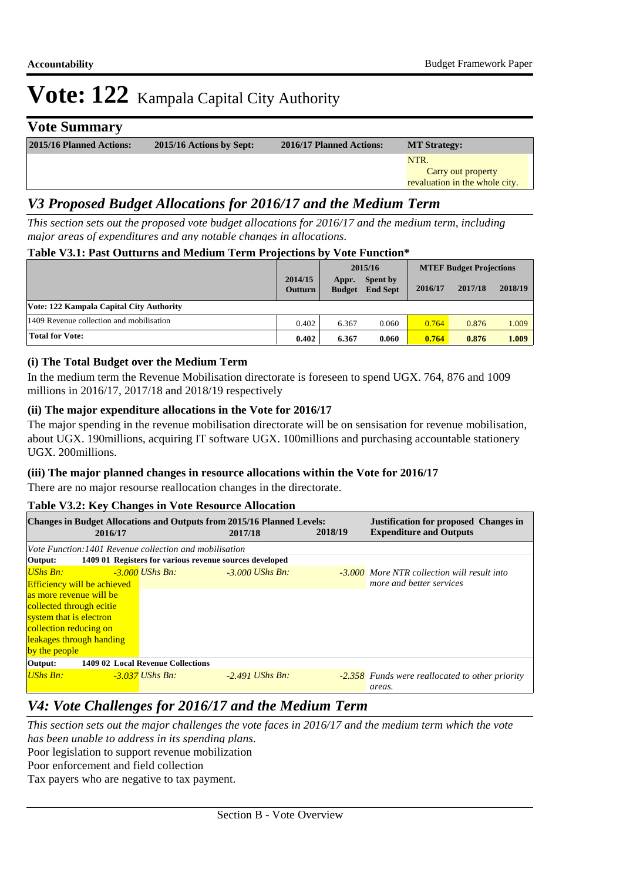## **Vote Summary**

| 2015/16 Planned Actions: | 2015/16 Actions by Sept: | 2016/17 Planned Actions: | <b>MT Strategy:</b>            |
|--------------------------|--------------------------|--------------------------|--------------------------------|
|                          |                          |                          | NTR.                           |
|                          |                          |                          | Carry out property             |
|                          |                          |                          | revaluation in the whole city. |
|                          |                          |                          |                                |

## *V3 Proposed Budget Allocations for 2016/17 and the Medium Term*

*This section sets out the proposed vote budget allocations for 2016/17 and the medium term, including major areas of expenditures and any notable changes in allocations.* 

#### **Table V3.1: Past Outturns and Medium Term Projections by Vote Function\***

|                                          |                           |                        | 2015/16                     |         | <b>MTEF Budget Projections</b> |         |  |
|------------------------------------------|---------------------------|------------------------|-----------------------------|---------|--------------------------------|---------|--|
|                                          | 2014/15<br><b>Outturn</b> | Appr.<br><b>Budget</b> | Spent by<br><b>End Sept</b> | 2016/17 | 2017/18                        | 2018/19 |  |
| Vote: 122 Kampala Capital City Authority |                           |                        |                             |         |                                |         |  |
| 1409 Revenue collection and mobilisation | 0.402                     | 6.367                  | 0.060                       | 0.764   | 0.876                          | 1.009   |  |
| <b>Total for Vote:</b>                   | 0.402                     | 6.367                  | 0.060                       | 0.764   | 0.876                          | 1.009   |  |

#### **(i) The Total Budget over the Medium Term**

In the medium term the Revenue Mobilisation directorate is foreseen to spend UGX. 764, 876 and 1009 millions in 2016/17, 2017/18 and 2018/19 respectively

#### **(ii) The major expenditure allocations in the Vote for 2016/17**

The major spending in the revenue mobilisation directorate will be on sensisation for revenue mobilisation, about UGX. 190millions, acquiring IT software UGX. 100millions and purchasing accountable stationery UGX. 200millions.

#### **(iii) The major planned changes in resource allocations within the Vote for 2016/17**

There are no major resourse reallocation changes in the directorate.

#### **Table V3.2: Key Changes in Vote Resource Allocation**

| $\overline{\phantom{a}}$                                                                                                      |  |                                                         |                   |         |                                                    |  |  |
|-------------------------------------------------------------------------------------------------------------------------------|--|---------------------------------------------------------|-------------------|---------|----------------------------------------------------|--|--|
| <b>Changes in Budget Allocations and Outputs from 2015/16 Planned Levels:</b><br><b>Justification for proposed Changes in</b> |  |                                                         |                   |         |                                                    |  |  |
| 2016/17                                                                                                                       |  |                                                         | 2017/18           | 2018/19 | <b>Expenditure and Outputs</b>                     |  |  |
|                                                                                                                               |  | Vote Function: 1401 Revenue collection and mobilisation |                   |         |                                                    |  |  |
| Output:                                                                                                                       |  | 1409 01 Registers for various revenue sources developed |                   |         |                                                    |  |  |
| $USh$ s Bn:                                                                                                                   |  | $-3.000$ UShs Bn:                                       | $-3.000$ UShs Bn: |         | <b>-3.000</b> More NTR collection will result into |  |  |
| <b>Efficiency will be achieved</b>                                                                                            |  |                                                         |                   |         | more and better services                           |  |  |
| as more revenue will be                                                                                                       |  |                                                         |                   |         |                                                    |  |  |
| collected through ecitie                                                                                                      |  |                                                         |                   |         |                                                    |  |  |
| system that is electron                                                                                                       |  |                                                         |                   |         |                                                    |  |  |
| collection reducing on                                                                                                        |  |                                                         |                   |         |                                                    |  |  |
| leakages through handing                                                                                                      |  |                                                         |                   |         |                                                    |  |  |
| by the people                                                                                                                 |  |                                                         |                   |         |                                                    |  |  |
| Output:                                                                                                                       |  | 1409 02 Local Revenue Collections                       |                   |         |                                                    |  |  |
| UShs Bn:                                                                                                                      |  | $-3.037$ UShs Bn:                                       | $-2.491$ UShs Bn: |         | -2.358 Funds were reallocated to other priority    |  |  |
|                                                                                                                               |  |                                                         |                   |         | areas.                                             |  |  |

## *V4: Vote Challenges for 2016/17 and the Medium Term*

Poor legislation to support revenue mobilization Poor enforcement and field collection *This section sets out the major challenges the vote faces in 2016/17 and the medium term which the vote has been unable to address in its spending plans.*

Tax payers who are negative to tax payment.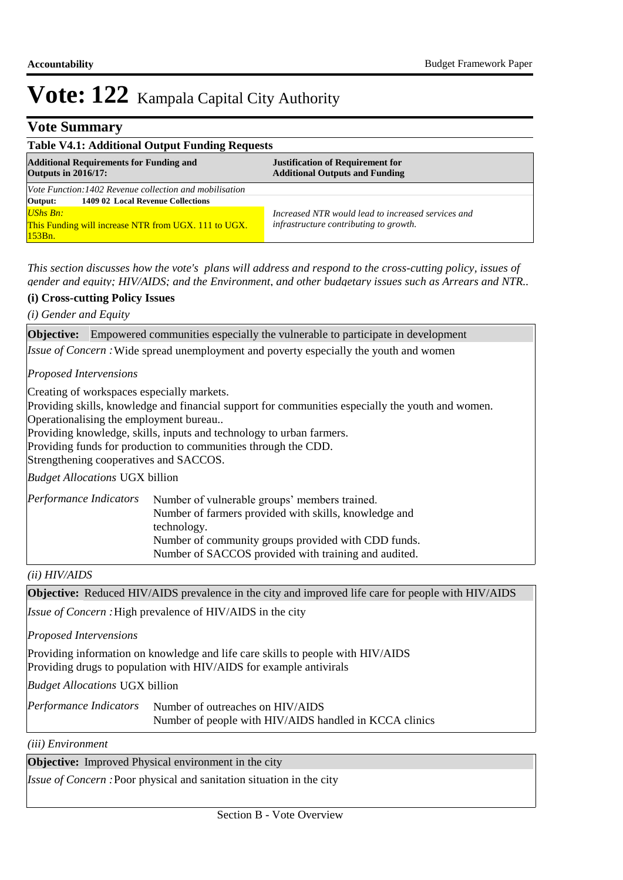## **Vote Summary**

| <b>Table V4.1: Additional Output Funding Requests</b>                        |                                                                                  |  |  |  |
|------------------------------------------------------------------------------|----------------------------------------------------------------------------------|--|--|--|
| <b>Additional Requirements for Funding and</b><br><b>Outputs in 2016/17:</b> | <b>Justification of Requirement for</b><br><b>Additional Outputs and Funding</b> |  |  |  |
| <i>Vote Function:1402 Revenue collection and mobilisation</i>                |                                                                                  |  |  |  |
| 1409 02 Local Revenue Collections<br>Output:                                 |                                                                                  |  |  |  |
| UShs Bn:                                                                     | Increased NTR would lead to increased services and                               |  |  |  |
| This Funding will increase NTR from UGX. 111 to UGX.<br>$153Bn$ .            | infrastructure contributing to growth.                                           |  |  |  |

*This section discusses how the vote's plans will address and respond to the cross-cutting policy, issues of gender and equity; HIV/AIDS; and the Environment, and other budgetary issues such as Arrears and NTR..* 

#### **(i) Cross-cutting Policy Issues**

*(i) Gender and Equity*

**Objective:** Empowered communities especially the vulnerable to participate in development

Issue of Concern : Wide spread unemployment and poverty especially the youth and women

#### *Proposed Intervensions*

Creating of workspaces especially markets.

Providing skills, knowledge and financial support for communities especially the youth and women. Operationalising the employment bureau..

Providing knowledge, skills, inputs and technology to urban farmers.

Providing funds for production to communities through the CDD.

Strengthening cooperatives and SACCOS.

*Budget Allocations*  UGX billion

| Performance Indicators | Number of vulnerable groups' members trained.         |
|------------------------|-------------------------------------------------------|
|                        | Number of farmers provided with skills, knowledge and |
|                        | technology.                                           |
|                        | Number of community groups provided with CDD funds.   |
|                        | Number of SACCOS provided with training and audited.  |

*(ii) HIV/AIDS*

**Objective:** Reduced HIV/AIDS prevalence in the city and improved life care for people with HIV/AIDS

Issue of Concern : High prevalence of HIV/AIDS in the city

*Proposed Intervensions* 

Providing information on knowledge and life care skills to people with HIV/AIDS Providing drugs to population with HIV/AIDS for example antivirals

*Budget Allocations*  UGX billion

| Performance Indicators | Number of outreaches on HIV/AIDS                       |
|------------------------|--------------------------------------------------------|
|                        | Number of people with HIV/AIDS handled in KCCA clinics |

*(iii) Environment*

**Objective:** Improved Physical environment in the city

*Issue of Concern :*Poor physical and sanitation situation in the city